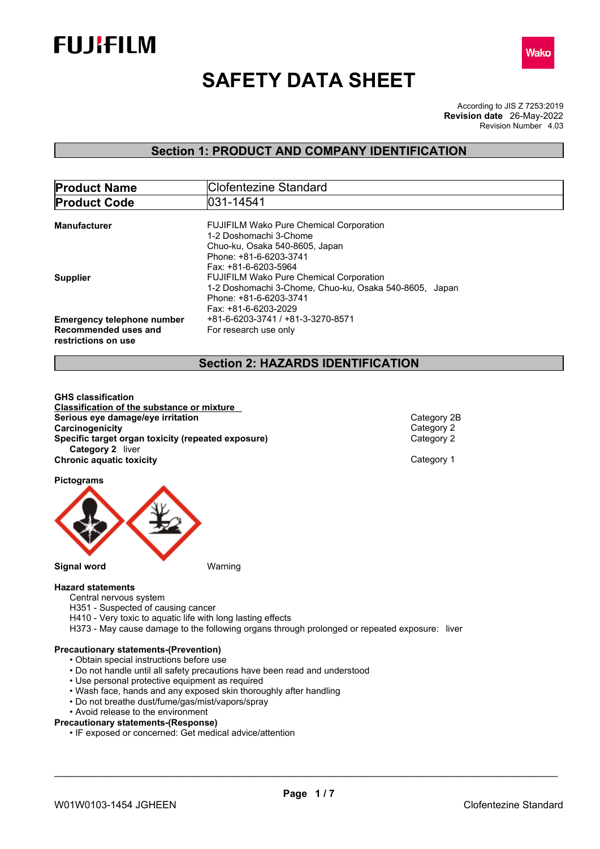



# **SAFETY DATA SHEET**

According to JIS Z 7253:2019 Revision Number 4.03 **Revision date** 26-May-2022

## **Section 1: PRODUCT AND COMPANY IDENTIFICATION**

| Clofentezine Standard                                  |
|--------------------------------------------------------|
| 031-14541                                              |
|                                                        |
| <b>FUJIFILM Wako Pure Chemical Corporation</b>         |
| 1-2 Doshomachi 3-Chome                                 |
| Chuo-ku, Osaka 540-8605, Japan                         |
| Phone: +81-6-6203-3741                                 |
| Fax: +81-6-6203-5964                                   |
| <b>FUJIFILM Wako Pure Chemical Corporation</b>         |
| 1-2 Doshomachi 3-Chome, Chuo-ku, Osaka 540-8605, Japan |
| Phone: +81-6-6203-3741                                 |
| Fax: +81-6-6203-2029                                   |
| +81-6-6203-3741 / +81-3-3270-8571                      |
| For research use only                                  |
|                                                        |

## **Section 2: HAZARDS IDENTIFICATION**

**GHS classification Classification of the substance or mixture Serious eye damage/eye irritation**<br> **Category 2B**<br> **Category 2B**<br> **Category 2 Carcinogenicity**<br> **Category 2**<br> **Specific target organ toxicity (repeated exposure)**<br>
Category 2 **Specific target organ toxicity (repeated exposure) Category 2** liver **Chronic aquatic toxicity** Chronic **aquatic toxicity** Category 1

**Pictograms**



#### **Hazard statements**

- Central nervous system
- H351 Suspected of causing cancer
- H410 Very toxic to aquatic life with long lasting effects
- H373 May cause damage to the following organs through prolonged or repeated exposure: liver

#### **Precautionary statements-(Prevention)**

- Obtain special instructions before use
- Do not handle until all safety precautions have been read and understood
- Use personal protective equipment as required
- Wash face, hands and any exposed skin thoroughly after handling
- Do not breathe dust/fume/gas/mist/vapors/spray
- Avoid release to the environment
- **Precautionary statements-(Response)**
	- IF exposed or concerned: Get medical advice/attention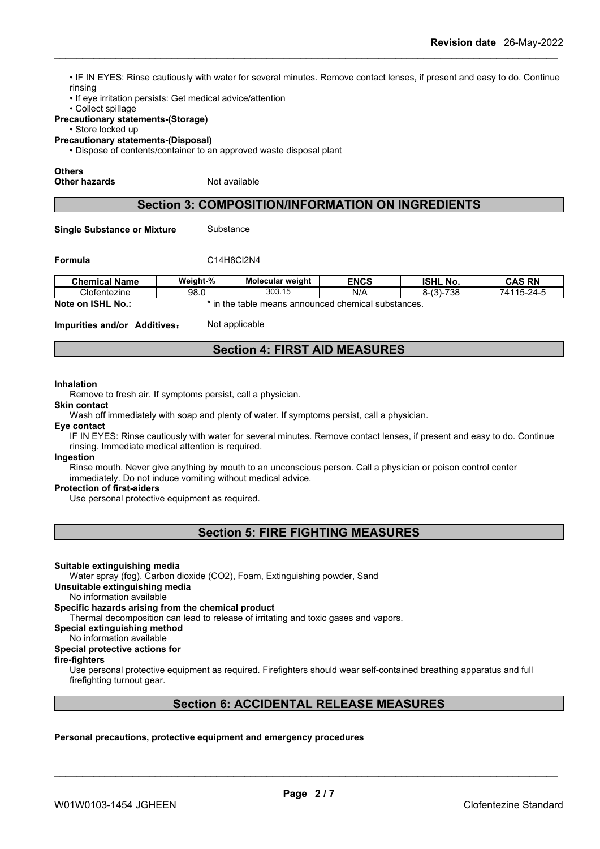• IF IN EYES: Rinse cautiously with water for several minutes. Remove contact lenses, if present and easy to do. Continue rinsing

• If eye irritation persists: Get medical advice/attention

• Collect spillage

#### **Precautionary statements-(Storage)**

• Store locked up

**Precautionary statements-(Disposal)**

• Dispose of contents/container to an approved waste disposal plant

#### **Others**

**Other hazards** Not available

## **Section 3: COMPOSITION/INFORMATION ON INGREDIENTS**

**Single Substance or Mixture** Substance

#### **Formula** C14H8Cl2N4

| <b>Chemical Name</b>           | Weight-%       | <b>Molecular weight</b> | <b>ENCS</b>              | <b>ISHL No.</b> | CAS RN                         |
|--------------------------------|----------------|-------------------------|--------------------------|-----------------|--------------------------------|
| Clofentezine                   | 98.0           | 303.15                  | N/A                      | $8-(3)-738$     | $.115 - 24 - F$<br>711<br>ี⊿ เ |
| <b>ISHL</b><br>No.:<br>lote on | in the table t | . means announced •     | ⊧substances.<br>chemical |                 |                                |

**Impurities and/or Additives:** Not applicable

## **Section 4: FIRST AID MEASURES**

#### **Inhalation**

Remove to fresh air. If symptoms persist, call a physician.

**Skin contact**

Wash off immediately with soap and plenty of water. If symptoms persist, call a physician.

**Eye contact**

IF IN EYES: Rinse cautiously with water for several minutes. Remove contact lenses, if present and easy to do. Continue rinsing. Immediate medical attention is required.

#### **Ingestion**

Rinse mouth. Never give anything by mouth to an unconscious person. Call a physician or poison control center immediately. Do not induce vomiting without medical advice.

#### **Protection of first-aiders**

Use personal protective equipment as required.

**Section 5: FIRE FIGHTING MEASURES**

#### **Suitable extinguishing media**

Water spray (fog), Carbon dioxide (CO2), Foam, Extinguishing powder, Sand

#### **Unsuitable extinguishing media**

#### No information available **Specific hazards arising from the chemical product**

Thermal decomposition can lead to release of irritating and toxic gases and vapors.

#### **Special extinguishing method**

No information available

### **Special protective actions for**

#### **fire-fighters**

Use personal protective equipment as required.Firefighters should wear self-contained breathing apparatus and full firefighting turnout gear.

## **Section 6: ACCIDENTAL RELEASE MEASURES**

**Personal precautions, protective equipment and emergency procedures**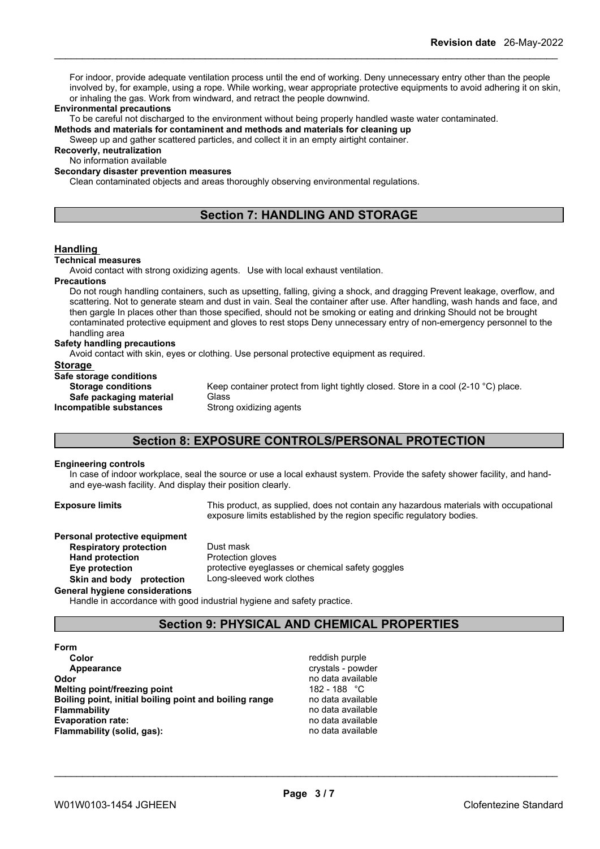For indoor, provide adequate ventilation process until the end of working. Deny unnecessary entry other than the people involved by, for example, using a rope. While working, wear appropriate protective equipments to avoid adhering it on skin, or inhaling the gas. Work from windward, and retract the people downwind.

#### **Environmental precautions**

To be careful not discharged to the environment without being properly handled waste water contaminated.

**Methods and materials for contaminent and methods and materials for cleaning up**

Sweep up and gather scattered particles, and collect it in an empty airtight container.

**Recoverly, neutralization**

No information available

## **Secondary disaster prevention measures**

Clean contaminated objects and areas thoroughly observing environmental regulations.

## **Section 7: HANDLING AND STORAGE**

#### **Handling**

#### **Technical measures**

Avoid contact with strong oxidizing agents. Use with local exhaust ventilation.

#### **Precautions**

Do not rough handling containers, such as upsetting, falling, giving a shock, and dragging Prevent leakage, overflow, and scattering. Not to generate steam and dust in vain. Seal the container after use. After handling, wash hands and face, and then gargle In places other than those specified, should not be smoking or eating and drinking Should not be brought contaminated protective equipment and gloves to rest stops Deny unnecessary entry of non-emergency personnel to the handling area

### **Safety handling precautions**

Avoid contact with skin, eyes or clothing. Use personal protective equipment as required.

#### **Storage**

**Safe storage conditions Safe packaging material** Glass **Incompatible substances** Strong oxidizing agents

**Storage conditions** Keep container protect from light tightly closed. Store in a cool (2-10 °C) place.

## **Section 8: EXPOSURE CONTROLS/PERSONAL PROTECTION**

#### **Engineering controls**

In case of indoor workplace, seal the source or use a local exhaust system. Provide the safety shower facility, and handand eye-wash facility. And display their position clearly.

**Exposure limits** This product, as supplied, does not contain any hazardous materials with occupational exposure limits established by the region specific regulatory bodies.

| Personal protective equipment  |                                                  |
|--------------------------------|--------------------------------------------------|
| <b>Respiratory protection</b>  | Dust mask                                        |
| <b>Hand protection</b>         | Protection gloves                                |
| Eye protection                 | protective eyeglasses or chemical safety goggles |
| Skin and body protection       | Long-sleeved work clothes                        |
| General hygiene considerations |                                                  |

Handle in accordance with good industrial hygiene and safety practice.

## **Section 9: PHYSICAL AND CHEMICAL PROPERTIES**

| Form                         |                                                        |
|------------------------------|--------------------------------------------------------|
| Color                        |                                                        |
| Appearance                   |                                                        |
| Odor                         |                                                        |
| Melting point/freezing point |                                                        |
|                              | Boiling point, initial boiling point and boiling range |
| <b>Flammability</b>          |                                                        |
| <b>Evaporation rate:</b>     |                                                        |
| Flammability (solid, gas):   |                                                        |

reddish purple **Appearance** crystals - powder **Odor** no data available **Melting point/freezing point** 182 - 188 °C **Boiling point, initial boiling point and boiling range** no data available **Flammability** no data available **Evaporation rate:** no data available **Flammability (solid, gas):** no data available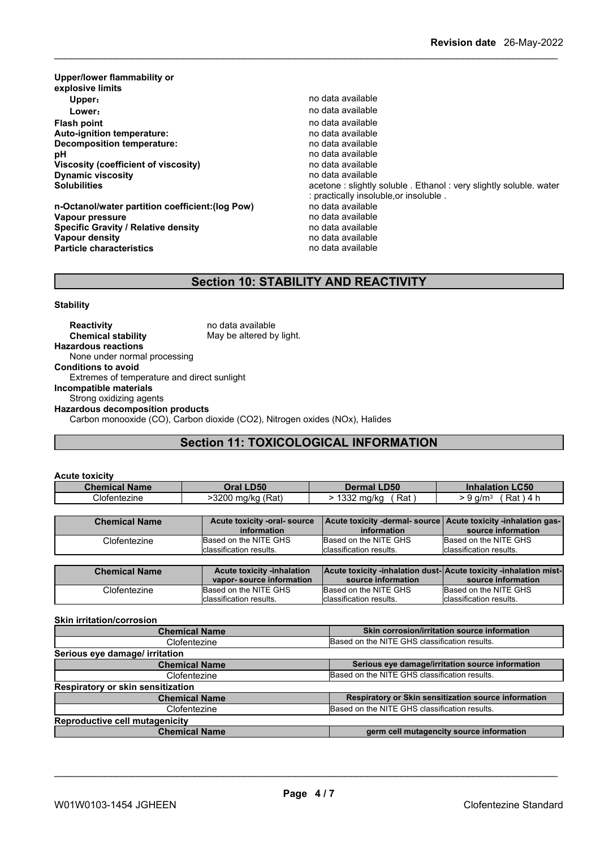| Upper/lower flammability or<br>explosive limits  |                                                                  |
|--------------------------------------------------|------------------------------------------------------------------|
| Upper:                                           | no data available                                                |
| Lower:                                           | no data available                                                |
| Flash point                                      | no data available                                                |
| Auto-ignition temperature:                       | no data available                                                |
| Decomposition temperature:                       | no data available                                                |
| рH                                               | no data available                                                |
| Viscosity (coefficient of viscosity)             | no data available                                                |
| <b>Dynamic viscosity</b>                         | no data available                                                |
| <b>Solubilities</b>                              | acetone: slightly soluble. Ethanol: very slightly soluble. water |
|                                                  | : practically insoluble, or insoluble .                          |
| n-Octanol/water partition coefficient: (log Pow) | no data available                                                |
| Vapour pressure                                  | no data available                                                |
| Specific Gravity / Relative density              | no data available                                                |
| Vapour density                                   | no data available                                                |
| <b>Particle characteristics</b>                  | no data available                                                |

## **Section 10: STABILITY AND REACTIVITY**

**Stability**

**Reactivity** no data available<br> **Chemical stability** May be altered by May be altered by light. **Hazardous reactions** None under normal processing **Conditions to avoid** Extremes of temperature and direct sunlight **Incompatible materials** Strong oxidizing agents **Hazardous decomposition products** Carbon monooxide (CO), Carbon dioxide (CO2), Nitrogen oxides (NOx), Halides

## **Section 11: TOXICOLOGICAL INFORMATION**

| <b>Acute toxicity</b> |                              |                     |                                                                          |
|-----------------------|------------------------------|---------------------|--------------------------------------------------------------------------|
| <b>Chemical Name</b>  | Oral LD50                    | Dermal LD50         | <b>Inhalation LC50</b>                                                   |
| Clofentezine          | $>3200$ mg/kg (Rat)          | Rat<br>> 1332 mg/kg | $Rat$ ) 4 h<br>> 9 a/m3                                                  |
|                       |                              |                     |                                                                          |
| Chemical Name         | Acute toxicity -oral- source |                     | <u>LAcute toxicity -dermal- source LAcute toxicity -inhalation gas-L</u> |

| <b>Chemical Name</b> | Acute toxicity -oral-source<br>information | information              | Acute toxicity -dermal- source   Acute toxicity -inhalation gas-  <br>source information |
|----------------------|--------------------------------------------|--------------------------|------------------------------------------------------------------------------------------|
| .lofentezine         | Based on the NITE GHS                      | Based on the NITE GHS    | Based on the NITE GHS                                                                    |
|                      | classification results.                    | Iclassification results. | Iclassification results.                                                                 |

| <b>Chemical Name</b> | <b>Acute toxicity -inhalation</b><br>vapor-source information | <b>Acute toxicity -inhalation dust-Acute toxicity -inhalation mist-</b><br>source information | source information       |
|----------------------|---------------------------------------------------------------|-----------------------------------------------------------------------------------------------|--------------------------|
| Clofentezine         | Based on the NITE GHS                                         | Based on the NITE GHS                                                                         | Based on the NITE GHS    |
|                      | Iclassification results.                                      | classification results.                                                                       | Iclassification results. |

#### **Skin irritation/corrosion**

| <b>Chemical Name</b>                  | Skin corrosion/irritation source information         |  |
|---------------------------------------|------------------------------------------------------|--|
| Clofentezine                          | Based on the NITE GHS classification results.        |  |
| Serious eye damage/ irritation        |                                                      |  |
| <b>Chemical Name</b>                  | Serious eye damage/irritation source information     |  |
| Clofentezine                          | Based on the NITE GHS classification results.        |  |
| Respiratory or skin sensitization     |                                                      |  |
| <b>Chemical Name</b>                  | Respiratory or Skin sensitization source information |  |
| Clofentezine                          | Based on the NITE GHS classification results.        |  |
| <b>Reproductive cell mutagenicity</b> |                                                      |  |
| <b>Chemical Name</b>                  | germ cell mutagencity source information             |  |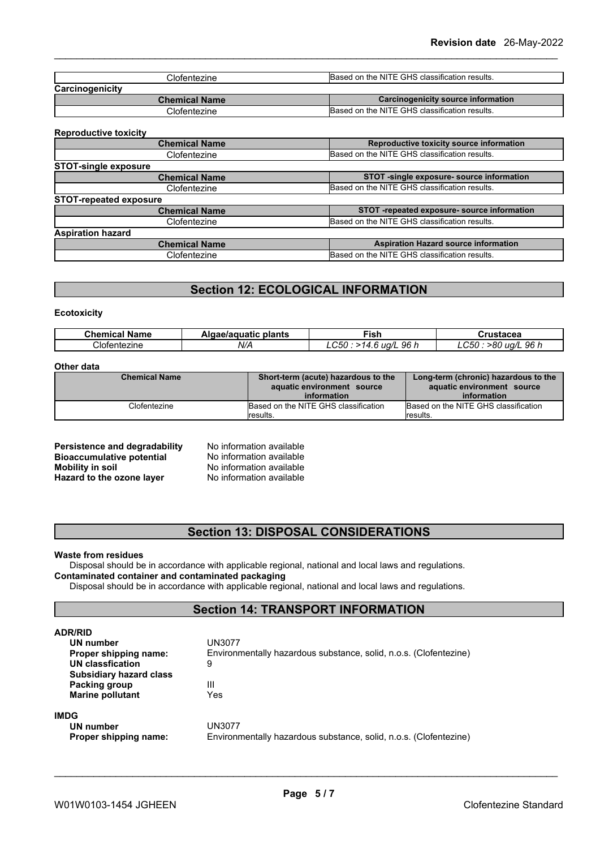| Clofentezine         | Based on the NITE GHS classification results. |
|----------------------|-----------------------------------------------|
| Carcinogenicity      |                                               |
|                      | Carcinogenicity source information            |
| <b>Chemical Name</b> |                                               |
| Clofentezine         | Based on the NITE GHS classification results. |

#### **Reproductive toxicity**

| <b>Chemical Name</b>          | Reproductive toxicity source information      |
|-------------------------------|-----------------------------------------------|
| Clofentezine                  | Based on the NITE GHS classification results. |
| <b>STOT-single exposure</b>   |                                               |
| <b>Chemical Name</b>          | STOT -single exposure- source information     |
| Clofentezine                  | Based on the NITE GHS classification results. |
| <b>STOT-repeated exposure</b> |                                               |
| <b>Chemical Name</b>          | STOT -repeated exposure- source information   |
| Clofentezine                  | Based on the NITE GHS classification results. |
| <b>Aspiration hazard</b>      |                                               |
| <b>Chemical Name</b>          | <b>Aspiration Hazard source information</b>   |
| Clofentezine                  | Based on the NITE GHS classification results. |
|                               |                                               |

## **Section 12: ECOLOGICAL INFORMATION**

#### **Ecotoxicity**

| <b>Chemical</b><br>- -<br><b>Name</b> | plants<br>ae/aguatic<br>Alaae | -iak<br>וכו                           | Crustacea                                                    |
|---------------------------------------|-------------------------------|---------------------------------------|--------------------------------------------------------------|
| Clofentezine                          | N/A                           | $\sim$ $\sim$<br>96 h<br>ua/l<br>LUOL | 96h<br>$\sim$ $\sim$ $\sim$<br>-80<br>ua/I<br>$\sim$<br>-000 |

#### **Other data**

| <b>Chemical Name</b> | Short-term (acute) hazardous to the  | Long-term (chronic) hazardous to the |
|----------------------|--------------------------------------|--------------------------------------|
|                      | aquatic environment source           | aquatic environment source           |
|                      | information                          | information                          |
| Clofentezine         | Based on the NITE GHS classification | Based on the NITE GHS classification |
|                      | <i>I</i> results.                    | lresults.                            |

| Persistence and degradability    |
|----------------------------------|
| <b>Bioaccumulative potential</b> |
| <b>Mobility in soil</b>          |
| Hazard to the ozone layer        |

**No information available No information available Mobility in soil** No information available **Hazard to the ozone layer** No information available

## **Section 13: DISPOSAL CONSIDERATIONS**

#### **Waste from residues**

Disposal should be in accordance with applicable regional, national and local laws and regulations. **Contaminated container and contaminated packaging**

Disposal should be in accordance with applicable regional, national and local laws and regulations.

## **Section 14: TRANSPORT INFORMATION**

| ADR/RID                        |                                                                   |  |  |
|--------------------------------|-------------------------------------------------------------------|--|--|
| UN number                      | UN3077                                                            |  |  |
| Proper shipping name:          | Environmentally hazardous substance, solid, n.o.s. (Clofentezine) |  |  |
| <b>UN classfication</b>        | 9                                                                 |  |  |
| <b>Subsidiary hazard class</b> |                                                                   |  |  |
| Packing group                  | Ш                                                                 |  |  |
| <b>Marine pollutant</b>        | Yes                                                               |  |  |
| IMDG                           |                                                                   |  |  |
| UN number                      | UN3077                                                            |  |  |
| Proper shipping name:          | Environmentally hazardous substance, solid, n.o.s. (Clofentezine) |  |  |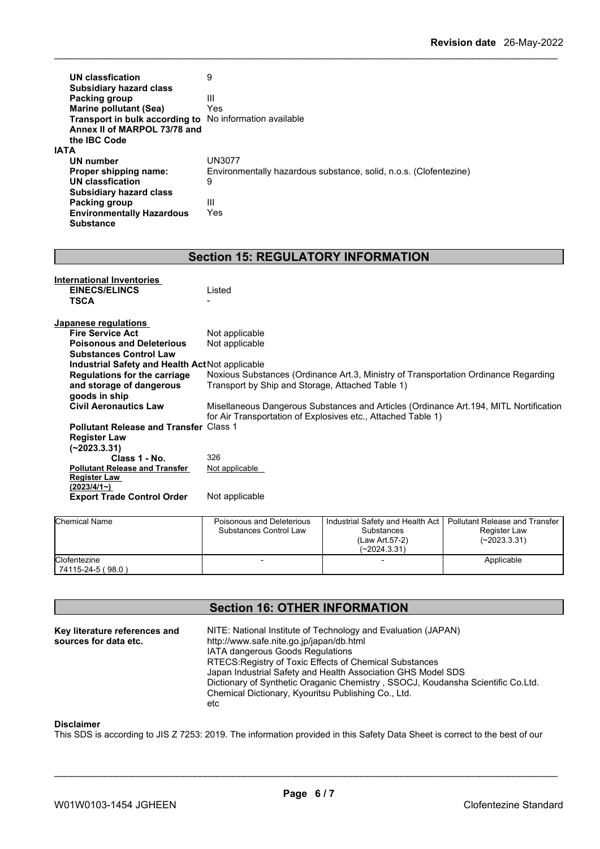| <b>UN classfication</b><br><b>Subsidiary hazard class</b><br>Packing group<br><b>Marine pollutant (Sea)</b><br>Transport in bulk according to<br>Annex II of MARPOL 73/78 and<br>the IBC Code<br>IATA<br>UN number<br>Proper shipping name: | 9<br>Ш<br>Yes<br>No information available<br><b>UN3077</b><br>Environmentally hazardous substance, solid, n.o.s. (Clofentezine) |
|---------------------------------------------------------------------------------------------------------------------------------------------------------------------------------------------------------------------------------------------|---------------------------------------------------------------------------------------------------------------------------------|
| UN classfication                                                                                                                                                                                                                            | 9                                                                                                                               |
| <b>Subsidiary hazard class</b>                                                                                                                                                                                                              |                                                                                                                                 |
| <b>Packing group</b>                                                                                                                                                                                                                        | Ш                                                                                                                               |
| <b>Environmentally Hazardous</b>                                                                                                                                                                                                            | Yes                                                                                                                             |
| <b>Substance</b>                                                                                                                                                                                                                            |                                                                                                                                 |
|                                                                                                                                                                                                                                             |                                                                                                                                 |
|                                                                                                                                                                                                                                             | <b>Section 15: REGULATORY INFORMATION</b>                                                                                       |
|                                                                                                                                                                                                                                             |                                                                                                                                 |
| <b>International Inventories</b>                                                                                                                                                                                                            |                                                                                                                                 |
| <b>EINECS/ELINCS</b>                                                                                                                                                                                                                        | Listed                                                                                                                          |
| <b>TSCA</b>                                                                                                                                                                                                                                 |                                                                                                                                 |
|                                                                                                                                                                                                                                             |                                                                                                                                 |
| <b>Japanese regulations</b>                                                                                                                                                                                                                 |                                                                                                                                 |
| <b>Fire Service Act</b>                                                                                                                                                                                                                     | Not applicable                                                                                                                  |
| <b>Poisonous and Deleterious</b>                                                                                                                                                                                                            | Not applicable                                                                                                                  |
| <b>Substances Control Law</b>                                                                                                                                                                                                               |                                                                                                                                 |
| Industrial Safety and Health Act Not applicable                                                                                                                                                                                             |                                                                                                                                 |
| <b>Regulations for the carriage</b>                                                                                                                                                                                                         | Noxious Substances (Ordinance Art.3, Ministry of Transportation Ordinance Regarding                                             |
| and storage of dangerous<br>goods in ship                                                                                                                                                                                                   | Transport by Ship and Storage, Attached Table 1)                                                                                |
| <b>Civil Aeronautics Law</b>                                                                                                                                                                                                                | Misellaneous Dangerous Substances and Articles (Ordinance Art. 194, MITL Nortification                                          |
|                                                                                                                                                                                                                                             | for Air Transportation of Explosives etc., Attached Table 1)                                                                    |
| <b>Pollutant Release and Transfer Class 1</b>                                                                                                                                                                                               |                                                                                                                                 |
| <b>Register Law</b>                                                                                                                                                                                                                         |                                                                                                                                 |
| $(-2023.3.31)$                                                                                                                                                                                                                              |                                                                                                                                 |
| Class 1 - No.                                                                                                                                                                                                                               | 326                                                                                                                             |
|                                                                                                                                                                                                                                             |                                                                                                                                 |

| Class 1 - No.                         | 326            |
|---------------------------------------|----------------|
| <b>Pollutant Release and Transfer</b> | Not applicable |
| <b>Register Law</b>                   |                |
| $(2023/4/1-)$                         |                |
| <b>Export Trade Control Order</b>     | Not applicable |
|                                       |                |

| <b>Chemical Name</b>              | Poisonous and Deleterious<br>Substances Control Law | Industrial Safety and Health Act  <br><b>Substances</b><br>(Law Art.57-2)<br>$(-2024.3.31)$ | l Pollutant Release and Transfer<br>Register Law<br>(~2023.3.31) |  |
|-----------------------------------|-----------------------------------------------------|---------------------------------------------------------------------------------------------|------------------------------------------------------------------|--|
| Clofentezine<br>74115-24-5 (98.0) |                                                     |                                                                                             | Applicable                                                       |  |

## **Section 16: OTHER INFORMATION**

| http://www.safe.nite.go.jp/japan/db.html<br>sources for data etc.<br><b>IATA dangerous Goods Regulations</b><br>RTECS: Registry of Toxic Effects of Chemical Substances<br>Japan Industrial Safety and Health Association GHS Model SDS<br>Dictionary of Synthetic Oraganic Chemistry, SSOCJ, Koudansha Scientific Co.Ltd.<br>Chemical Dictionary, Kyouritsu Publishing Co., Ltd.<br>etc |  |  |  |
|------------------------------------------------------------------------------------------------------------------------------------------------------------------------------------------------------------------------------------------------------------------------------------------------------------------------------------------------------------------------------------------|--|--|--|
|------------------------------------------------------------------------------------------------------------------------------------------------------------------------------------------------------------------------------------------------------------------------------------------------------------------------------------------------------------------------------------------|--|--|--|

#### **Disclaimer**

This SDS is according to JIS Z 7253: 2019. The information provided in this Safety Data Sheet is correct to the best of our